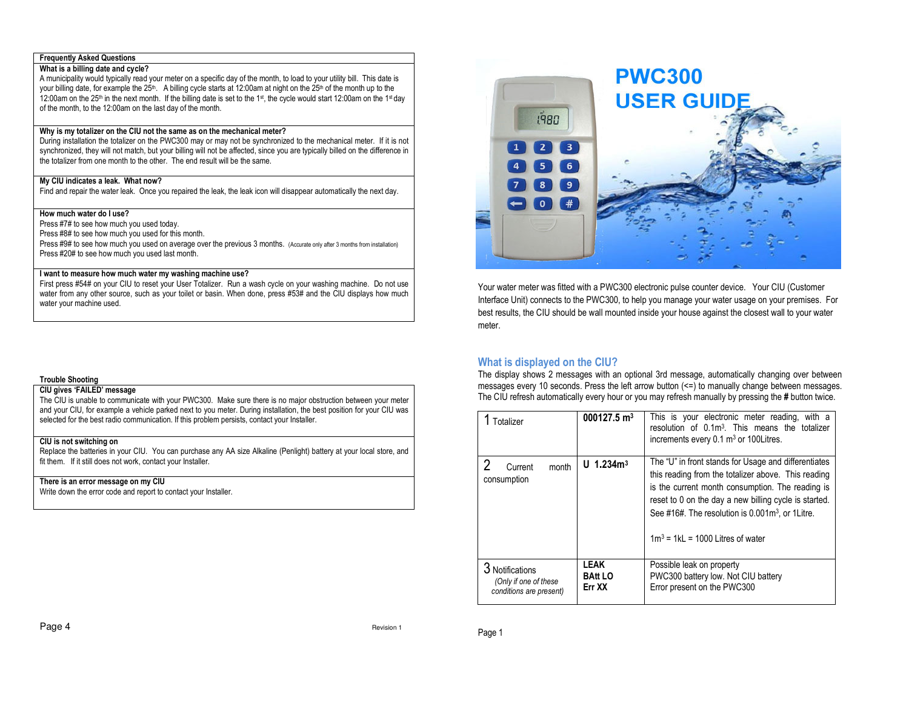#### **Frequently Asked Questions**

### **What is a billing date and cycle?**

 A municipality would typically read your meter on a specific day of the month, to load to your utility bill. This date is your billing date, for example the 25<sup>th</sup>. A billing cycle starts at 12:00am at night on the 25<sup>th</sup> of the month up to the 12:00am on the 25<sup>th</sup> in the next month. If the billing date is set to the 1st, the cycle would start 12:00am on the 1st day of the month, to the 12:00am on the last day of the month.

### **Why is my totalizer on the CIU not the same as on the mechanical meter?**

 During installation the totalizer on the PWC300 may or may not be synchronized to the mechanical meter. If it is not synchronized, they will not match, but your billing will not be affected, since you are typically billed on the difference in the totalizer from one month to the other. The end result will be the same.

### **My CIU indicates a leak. What now?**

Find and repair the water leak. Once you repaired the leak, the leak icon will disappear automatically the next day.

## **How much water do I use?**

Press #7# to see how much you used today.

Press #8# to see how much you used for this month.

 Press #9# to see how much you used on average over the previous 3 months. (Accurate only after 3 months from installation) Press #20# to see how much you used last month.

### **I want to measure how much water my washing machine use?**

 First press #54# on your CIU to reset your User Totalizer. Run a wash cycle on your washing machine. Do not use water from any other source, such as your toilet or basin. When done, press #53# and the CIU displays how much water your machine used.

#### **Trouble Shooting**

### **CIU gives 'FAILED' message**

 The CIU is unable to communicate with your PWC300. Make sure there is no major obstruction between your meter and your CIU, for example a vehicle parked next to you meter. During installation, the best position for your CIU was selected for the best radio communication. If this problem persists, contact your Installer.

## **CIU is not switching on**

 Replace the batteries in your CIU. You can purchase any AA size Alkaline (Penlight) battery at your local store, and fit them. If it still does not work, contact your Installer.

### **There is an error message on my CIU**

Write down the error code and report to contact your Installer.



Your water meter was fitted with a PWC300 electronic pulse counter device. Your CIU (Customer Interface Unit) connects to the PWC300, to help you manage your water usage on your premises. For best results, the CIU should be wall mounted inside your house against the closest wall to your water meter.

## **What is displayed on the CIU?**

 The display shows 2 messages with an optional 3rd message, automatically changing over between messages every 10 seconds. Press the left arrow button (<=) to manually change between messages. The CIU refresh automatically every hour or you may refresh manually by pressing the **#** button twice.

| Totalizer                                                                | 000127.5 $m3$                           | This is your electronic meter reading, with a<br>resolution of 0.1m <sup>3</sup> . This means the totalizer<br>increments every $0.1 \text{ m}^3$ or 100 Litres.                                                                                                                                                                   |
|--------------------------------------------------------------------------|-----------------------------------------|------------------------------------------------------------------------------------------------------------------------------------------------------------------------------------------------------------------------------------------------------------------------------------------------------------------------------------|
| Current<br>month<br>consumption                                          | U $1.234m3$                             | The "U" in front stands for Usage and differentiates<br>this reading from the totalizer above. This reading<br>is the current month consumption. The reading is<br>reset to 0 on the day a new billing cycle is started.<br>See #16#. The resolution is $0.001\,\mathrm{m}^3$ , or 1 Litre.<br>$1m^3$ = 1kL = 1000 Litres of water |
| <b>Notifications</b><br>(Only if one of these<br>conditions are present) | <b>LEAK</b><br><b>BAtt LO</b><br>Err XX | Possible leak on property<br>PWC300 battery low. Not CIU battery<br>Error present on the PWC300                                                                                                                                                                                                                                    |